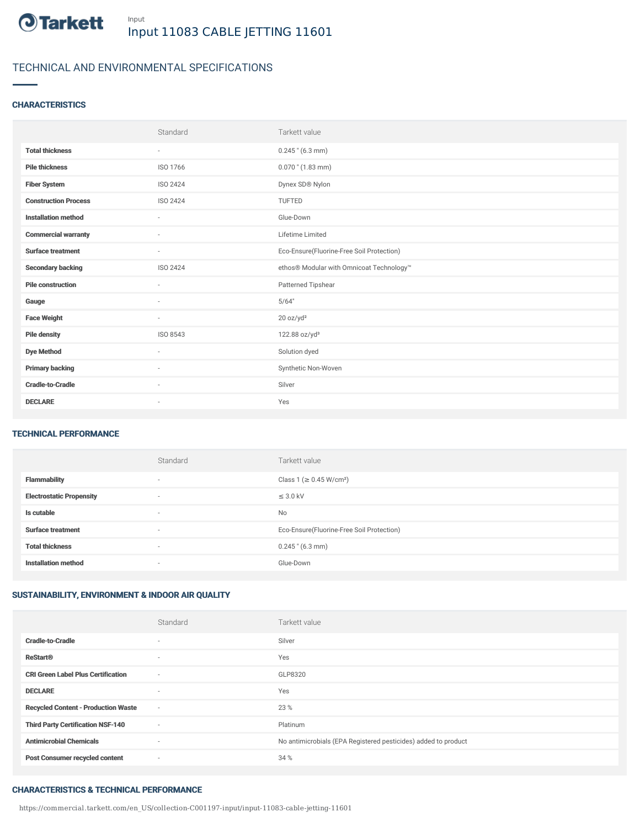

# TECHNICAL AND ENVIRONMENTAL SPECIFICATIONS

## **CHARACTERISTICS**

|                             | Standard                 | Tarkett value                             |
|-----------------------------|--------------------------|-------------------------------------------|
| <b>Total thickness</b>      | $\overline{\phantom{a}}$ | $0.245$ " (6.3 mm)                        |
| <b>Pile thickness</b>       | ISO 1766                 | $0.070$ " $(1.83$ mm)                     |
| <b>Fiber System</b>         | ISO 2424                 | Dynex SD® Nylon                           |
| <b>Construction Process</b> | ISO 2424                 | TUFTED                                    |
| <b>Installation method</b>  | $\sim$                   | Glue-Down                                 |
| <b>Commercial warranty</b>  | $\sim$                   | Lifetime Limited                          |
| <b>Surface treatment</b>    | $\sim$                   | Eco-Ensure(Fluorine-Free Soil Protection) |
| <b>Secondary backing</b>    | ISO 2424                 | ethos® Modular with Omnicoat Technology™  |
| <b>Pile construction</b>    | $\overline{\phantom{a}}$ | Patterned Tipshear                        |
| Gauge                       | ٠                        | 5/64"                                     |
| <b>Face Weight</b>          | $\sim$                   | 20 oz/yd <sup>2</sup>                     |
| <b>Pile density</b>         | ISO 8543                 | 122.88 oz/yd <sup>3</sup>                 |
| <b>Dye Method</b>           | ٠                        | Solution dyed                             |
| <b>Primary backing</b>      | $\sim$                   | Synthetic Non-Woven                       |
| <b>Cradle-to-Cradle</b>     | $\sim$                   | Silver                                    |
| <b>DECLARE</b>              | ٠                        | Yes                                       |

### TECHNICAL PERFORMANCE

|                                 | Standard | Tarkett value                             |
|---------------------------------|----------|-------------------------------------------|
| <b>Flammability</b>             | $\sim$   | Class 1 (≥ 0.45 W/cm <sup>2</sup> )       |
| <b>Electrostatic Propensity</b> | $\sim$   | $\leq$ 3.0 kV                             |
| Is cutable                      | $\sim$   | No                                        |
| <b>Surface treatment</b>        | $\sim$   | Eco-Ensure(Fluorine-Free Soil Protection) |
| <b>Total thickness</b>          | $\sim$   | $0.245$ " (6.3 mm)                        |
| <b>Installation method</b>      | $\sim$   | Glue-Down                                 |

## SUSTAINABILITY, ENVIRONMENT & INDOOR AIR QUALITY

|                                            | Standard                 | Tarkett value                                                  |
|--------------------------------------------|--------------------------|----------------------------------------------------------------|
| <b>Cradle-to-Cradle</b>                    | $\overline{\phantom{a}}$ | Silver                                                         |
| <b>ReStart<sup>®</sup></b>                 | $\overline{\phantom{a}}$ | Yes                                                            |
| <b>CRI Green Label Plus Certification</b>  | $\sim$                   | GLP8320                                                        |
| <b>DECLARE</b>                             | $\overline{\phantom{a}}$ | Yes                                                            |
| <b>Recycled Content - Production Waste</b> | $\sim$                   | 23 %                                                           |
| <b>Third Party Certification NSF-140</b>   | $\sim$                   | Platinum                                                       |
| <b>Antimicrobial Chemicals</b>             | $\sim$                   | No antimicrobials (EPA Registered pesticides) added to product |
| <b>Post Consumer recycled content</b>      | $\sim$                   | 34 %                                                           |

#### CHARACTERISTICS & TECHNICAL PERFORMANCE